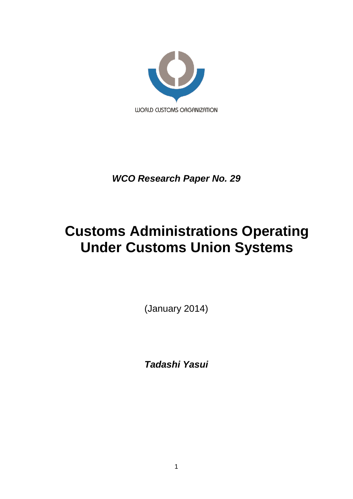

*WCO Research Paper No. 29*

# **Customs Administrations Operating Under Customs Union Systems**

(January 2014)

*Tadashi Yasui*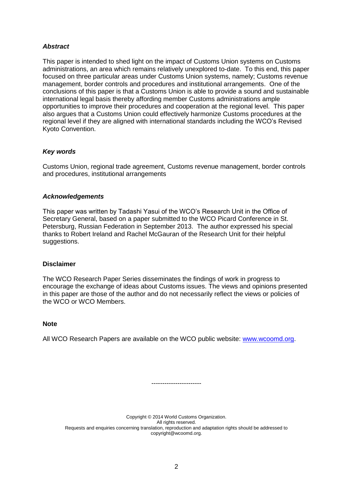# *Abstract*

This paper is intended to shed light on the impact of Customs Union systems on Customs administrations, an area which remains relatively unexplored to-date. To this end, this paper focused on three particular areas under Customs Union systems, namely; Customs revenue management, border controls and procedures and institutional arrangements. One of the conclusions of this paper is that a Customs Union is able to provide a sound and sustainable international legal basis thereby affording member Customs administrations ample opportunities to improve their procedures and cooperation at the regional level. This paper also argues that a Customs Union could effectively harmonize Customs procedures at the regional level if they are aligned with international standards including the WCO's Revised Kyoto Convention.

# *Key words*

Customs Union, regional trade agreement, Customs revenue management, border controls and procedures, institutional arrangements

## *Acknowledgements*

This paper was written by Tadashi Yasui of the WCO's Research Unit in the Office of Secretary General, based on a paper submitted to the WCO Picard Conference in St. Petersburg, Russian Federation in September 2013. The author expressed his special thanks to Robert Ireland and Rachel McGauran of the Research Unit for their helpful suggestions.

## **Disclaimer**

The WCO Research Paper Series disseminates the findings of work in progress to encourage the exchange of ideas about Customs issues. The views and opinions presented in this paper are those of the author and do not necessarily reflect the views or policies of the WCO or WCO Members.

# **Note**

All WCO Research Papers are available on the WCO public website: [www.wcoomd.org.](http://www.wcoomd.org/)

Copyright © 2014 World Customs Organization. All rights reserved. Requests and enquiries concerning translation, reproduction and adaptation rights should be addressed to copyright@wcoomd.org.

-----------------------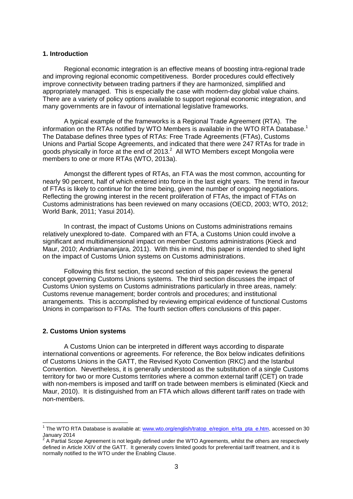## **1. Introduction**

Regional economic integration is an effective means of boosting intra-regional trade and improving regional economic competitiveness. Border procedures could effectively improve connectivity between trading partners if they are harmonized, simplified and appropriately managed. This is especially the case with modern-day global value chains. There are a variety of policy options available to support regional economic integration, and many governments are in favour of international legislative frameworks.

A typical example of the frameworks is a Regional Trade Agreement (RTA). The information on the RTAs notified by WTO Members is available in the WTO RTA Database.<sup>1</sup> The Database defines three types of RTAs: Free Trade Agreements (FTAs), Customs Unions and Partial Scope Agreements, and indicated that there were 247 RTAs for trade in goods physically in force at the end of 2013.<sup>2</sup> All WTO Members except Mongolia were members to one or more RTAs (WTO, 2013a).

Amongst the different types of RTAs, an FTA was the most common, accounting for nearly 90 percent, half of which entered into force in the last eight years. The trend in favour of FTAs is likely to continue for the time being, given the number of ongoing negotiations. Reflecting the growing interest in the recent proliferation of FTAs, the impact of FTAs on Customs administrations has been reviewed on many occasions (OECD, 2003; WTO, 2012; World Bank, 2011; Yasui 2014).

In contrast, the impact of Customs Unions on Customs administrations remains relatively unexplored to-date. Compared with an FTA, a Customs Union could involve a significant and multidimensional impact on member Customs administrations (Kieck and Maur, 2010; Andriamananjara, 2011). With this in mind, this paper is intended to shed light on the impact of Customs Union systems on Customs administrations.

Following this first section, the second section of this paper reviews the general concept governing Customs Unions systems. The third section discusses the impact of Customs Union systems on Customs administrations particularly in three areas, namely: Customs revenue management; border controls and procedures; and institutional arrangements. This is accomplished by reviewing empirical evidence of functional Customs Unions in comparison to FTAs. The fourth section offers conclusions of this paper.

## **2. Customs Union systems**

A Customs Union can be interpreted in different ways according to disparate international conventions or agreements. For reference, the Box below indicates definitions of Customs Unions in the GATT, the Revised Kyoto Convention (RKC) and the Istanbul Convention. Nevertheless, it is generally understood as the substitution of a single Customs territory for two or more Customs territories where a common external tariff (CET) on trade with non-members is imposed and tariff on trade between members is eliminated (Kieck and Maur, 2010). It is distinguished from an FTA which allows different tariff rates on trade with non-members.

 1 The WTO RTA Database is available at[: www.wto.org/english/tratop\\_e/region\\_e/rta\\_pta\\_e.htm,](http://www.wto.org/english/tratop_e/region_e/rta_pta_e.htm) accessed on 30 January 2014

A Partial Scope Agreement is not legally defined under the WTO Agreements, whilst the others are respectively defined in Article XXIV of the GATT. It generally covers limited goods for preferential tariff treatment, and it is normally notified to the WTO under the Enabling Clause.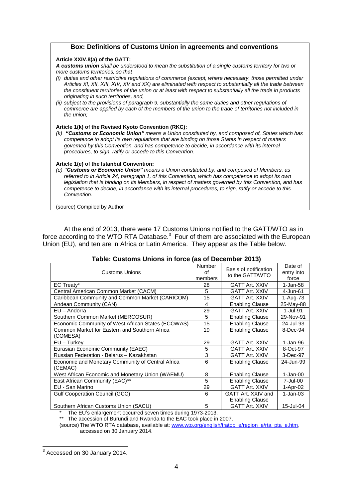## **Box: Definitions of Customs Union in agreements and conventions**

#### **Article XXIV.8(a) of the GATT:**

*A customs union shall be understood to mean the substitution of a single customs territory for two or more customs territories, so that*

- *(i) duties and other restrictive regulations of commerce (except, where necessary, those permitted under Articles XI, XII, XIII, XIV, XV and XX) are eliminated with respect to substantially all the trade between the constituent territories of the union or at least with respect to substantially all the trade in products originating in such territories, and,*
- *(ii) subject to the provisions of paragraph 9, substantially the same duties and other regulations of commerce are applied by each of the members of the union to the trade of territories not included in the union;*

#### **Article 1(k) of the Revised Kyoto Convention (RKC):**

*(k) "Customs or Economic Union" means a Union constituted by, and composed of, States which has competence to adopt its own regulations that are binding on those States in respect of matters governed by this Convention, and has competence to decide, in accordance with its internal procedures, to sign, ratify or accede to this Convention.*

#### **Article 1(e) of the Istanbul Convention:**

*(e) "Customs or Economic Union" means a Union constituted by, and composed of Members, as referred to in Article 24, paragraph 1, of this Convention, which has competence to adopt its own legislation that is binding on its Members, in respect of matters governed by this Convention, and has competence to decide, in accordance with its internal procedures, to sign, ratify or accede to this Convention.*

(source) Compiled by Author

At the end of 2013, there were 17 Customs Unions notified to the GATT/WTO as in force according to the WTO RTA Database. $3$  Four of them are associated with the European Union (EU), and ten are in Africa or Latin America. They appear as the Table below.

| <b>Customs Unions</b>                              | Number<br>Ωf<br>members | Basis of notification<br>to the GATT/WTO | Date of<br>entry into<br>force |
|----------------------------------------------------|-------------------------|------------------------------------------|--------------------------------|
| EC Treaty*                                         | 28                      | <b>GATT Art. XXIV</b>                    | $1-Jan-58$                     |
| Central American Common Market (CACM)              | 5                       | <b>GATT Art. XXIV</b>                    | 4-Jun-61                       |
| Caribbean Community and Common Market (CARICOM)    | 15                      | <b>GATT Art. XXIV</b>                    | 1-Aug-73                       |
| Andean Community (CAN)                             | 4                       | <b>Enabling Clause</b>                   | 25-May-88                      |
| EU - Andorra                                       | 29                      | <b>GATT Art. XXIV</b>                    | 1-Jul-91                       |
| Southern Common Market (MERCOSUR)                  | 5                       | <b>Enabling Clause</b>                   | 29-Nov-91                      |
| Economic Community of West African States (ECOWAS) | 15                      | <b>Enabling Clause</b>                   | 24-Jul-93                      |
| Common Market for Eastern and Southern Africa      | 19                      | <b>Enabling Clause</b>                   | 8-Dec-94                       |
| (COMESA)                                           |                         |                                          |                                |
| $EU$ – Turkey                                      | 29                      | <b>GATT Art. XXIV</b>                    | 1-Jan-96                       |
| Eurasian Economic Community (EAEC)                 | 5                       | <b>GATT Art. XXIV</b>                    | 8-Oct-97                       |
| Russian Federation - Belarus - Kazakhstan          | 3                       | <b>GATT Art. XXIV</b>                    | 3-Dec-97                       |
| Economic and Monetary Community of Central Africa  | 6                       | <b>Enabling Clause</b>                   | 24-Jun-99                      |
| (CEMAC)                                            |                         |                                          |                                |
| West African Economic and Monetary Union (WAEMU)   | 8                       | <b>Enabling Clause</b>                   | $1-Jan-00$                     |
| East African Community (EAC)**                     | 5                       | <b>Enabling Clause</b>                   | 7-Jul-00                       |
| EU - San Marino                                    | 29                      | <b>GATT Art. XXIV</b>                    | 1-Apr-02                       |
| <b>Gulf Cooperation Council (GCC)</b>              | 6                       | GATT Art. XXIV and                       | $1-Jan-03$                     |
|                                                    |                         | <b>Enabling Clause</b>                   |                                |
| Southern African Customs Union (SACU)              | 5                       | <b>GATT Art. XXIV</b>                    | 15-Jul-04                      |

# **Table: Customs Unions in force (as of December 2013)**

The EU's enlargement occurred seven times during 1973-2013.

\*\* The accession of Burundi and Rwanda to the EAC took place in 2007.

(source) The WTO RTA database, available at[: www.wto.org/english/tratop\\_e/region\\_e/rta\\_pta\\_e.htm,](http://www.wto.org/english/tratop_e/region_e/rta_pta_e.htm)

accessed on 30 January 2014.

 3 Accessed on 30 January 2014.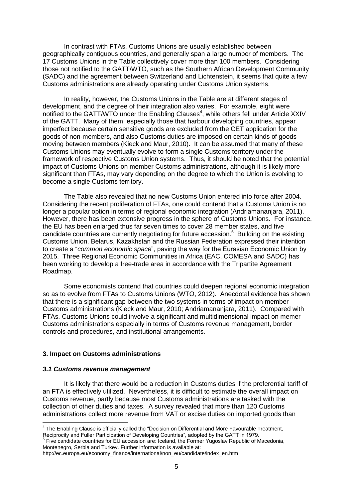In contrast with FTAs, Customs Unions are usually established between geographically contiguous countries, and generally span a large number of members. The 17 Customs Unions in the Table collectively cover more than 100 members. Considering those not notified to the GATT/WTO, such as the Southern African Development Community (SADC) and the agreement between Switzerland and Lichtenstein, it seems that quite a few Customs administrations are already operating under Customs Union systems.

In reality, however, the Customs Unions in the Table are at different stages of development, and the degree of their integration also varies. For example, eight were notified to the GATT/WTO under the Enabling Clauses<sup>4</sup>, while others fell under Article XXIV of the GATT. Many of them, especially those that harbour developing countries, appear imperfect because certain sensitive goods are excluded from the CET application for the goods of non-members, and also Customs duties are imposed on certain kinds of goods moving between members (Kieck and Maur, 2010). It can be assumed that many of these Customs Unions may eventually evolve to form a single Customs territory under the framework of respective Customs Union systems. Thus, it should be noted that the potential impact of Customs Unions on member Customs administrations, although it is likely more significant than FTAs, may vary depending on the degree to which the Union is evolving to become a single Customs territory.

The Table also revealed that no new Customs Union entered into force after 2004. Considering the recent proliferation of FTAs, one could contend that a Customs Union is no longer a popular option in terms of regional economic integration (Andriamananjara, 2011). However, there has been extensive progress in the sphere of Customs Unions. For instance, the EU has been enlarged thus far seven times to cover 28 member states, and five candidate countries are currently negotiating for future accession.<sup>5</sup> Building on the existing Customs Union, Belarus, Kazakhstan and the Russian Federation expressed their intention to create a "*common economic space*", paving the way for the Eurasian Economic Union by 2015. Three Regional Economic Communities in Africa (EAC, COMESA and SADC) has been working to develop a free-trade area in accordance with the Tripartite Agreement Roadmap.

Some economists contend that countries could deepen regional economic integration so as to evolve from FTAs to Customs Unions (WTO, 2012). Anecdotal evidence has shown that there is a significant gap between the two systems in terms of impact on member Customs administrations (Kieck and Maur, 2010; Andriamananjara, 2011). Compared with FTAs, Customs Unions could involve a significant and multidimensional impact on memer Customs administrations especially in terms of Customs revenue management, border controls and procedures, and institutional arrangements.

## **3. Impact on Customs administrations**

#### *3.1 Customs revenue management*

It is likely that there would be a reduction in Customs duties if the preferential tariff of an FTA is effectively utilized. Nevertheless, it is difficult to estimate the overall impact on Customs revenue, partly because most Customs administrations are tasked with the collection of other duties and taxes. A survey revealed that more than 120 Customs administrations collect more revenue from VAT or excise duties on imported goods than

 4 The Enabling Clause is officially called the "Decision on Differential and More Favourable Treatment, Reciprocity and Fuller Participation of Developing Countries", adopted by the GATT in 1979.<br><sup>5</sup> Five candidate countries for EU accession are: Iceland, the Former Yugoslav Republic of Macedonia,

Montenegro, Serbia and Turkey. Further information is available at:

http://ec.europa.eu/economy\_finance/international/non\_eu/candidate/index\_en.htm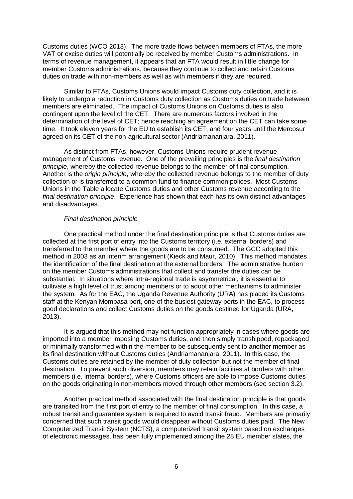Customs duties (WCO 2013). The more trade flows between members of FTAs, the more VAT or excise duties will potentially be received by member Customs administrations. In terms of revenue management, it appears that an FTA would result in little change for member Customs administrations, because they continue to collect and retain Customs duties on trade with non-members as well as with members if they are required.

Similar to FTAs, Customs Unions would impact Customs duty collection, and it is likely to undergo a reduction in Customs duty collection as Customs duties on trade between members are eliminated. The impact of Customs Unions on Customs duties is also contingent upon the level of the CET. There are numerous factors involved in the determination of the level of CET; hence reaching an agreement on the CET can take some time. It took eleven years for the EU to establish its CET, and four years until the Mercosur agreed on its CET of the non-agricultural sector (Andriamananjara, 2011).

As distinct from FTAs, however, Customs Unions require prudent revenue management of Customs revenue. One of the prevailing principles is the *final destination principle*, whereby the collected revenue belongs to the member of final consumption. Another is the *origin principle*, whereby the collected revenue belongs to the member of duty collection or is transferred to a common fund to finance common polices. Most Customs Unions in the Table allocate Customs duties and other Customs revenue according to the *final destination principle*. Experience has shown that each has its own distinct advantages and disadvantages.

## *Final destination principle*

One practical method under the final destination principle is that Customs duties are collected at the first port of entry into the Customs territory (i.e. external borders) and transferred to the member where the goods are to be consumed. The GCC adopted this method in 2003 as an interim arrangement (Kieck and Maur, 2010). This method mandates the identification of the final destination at the external borders. The administrative burden on the member Customs administrations that collect and transfer the duties can be substantial. In situations where intra-regional trade is asymmetrical, it is essential to cultivate a high level of trust among members or to adopt other mechanisms to administer the system. As for the EAC, the Uganda Revenue Authority (URA) has placed its Customs staff at the Kenyan Mombasa port, one of the busiest gateway ports in the EAC, to process good declarations and collect Customs duties on the goods destined for Uganda (URA, 2013).

It is argued that this method may not function appropriately in cases where goods are imported into a member imposing Customs duties, and then simply transhipped, repackaged or minimally transformed within the member to be subsequently sent to another member as its final destination without Customs duties (Andriamananjara, 2011). In this case, the Customs duties are retained by the member of duty collection but not the member of final destination. To prevent such diversion, members may retain facilities at borders with other members (i.e. internal borders), where Customs officers are able to impose Customs duties on the goods originating in non-members moved through other members (see section 3.2).

Another practical method associated with the final destination principle is that goods are transited from the first port of entry to the member of final consumption. In this case, a robust transit and guarantee system is required to avoid transit fraud. Members are primarily concerned that such transit goods would disappear without Customs duties paid. The New Computerized Transit System (NCTS), a computerized transit system based on exchanges of electronic messages, has been fully implemented among the 28 EU member states, the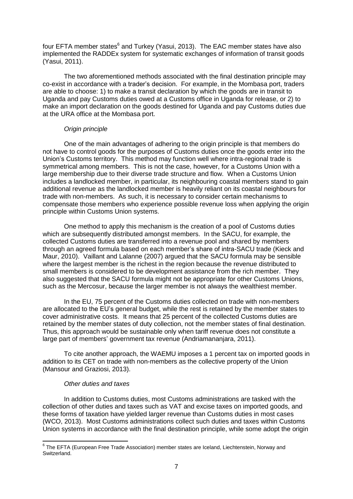four EFTA member states<sup>6</sup> and Turkey (Yasui, 2013). The EAC member states have also implemented the RADDEx system for systematic exchanges of information of transit goods (Yasui, 2011).

The two aforementioned methods associated with the final destination principle may co-exist in accordance with a trader's decision. For example, in the Mombasa port, traders are able to choose: 1) to make a transit declaration by which the goods are in transit to Uganda and pay Customs duties owed at a Customs office in Uganda for release, or 2) to make an import declaration on the goods destined for Uganda and pay Customs duties due at the URA office at the Mombasa port.

# *Origin principle*

One of the main advantages of adhering to the origin principle is that members do not have to control goods for the purposes of Customs duties once the goods enter into the Union's Customs territory. This method may function well where intra-regional trade is symmetrical among members. This is not the case, however, for a Customs Union with a large membership due to their diverse trade structure and flow. When a Customs Union includes a landlocked member, in particular, its neighbouring coastal members stand to gain additional revenue as the landlocked member is heavily reliant on its coastal neighbours for trade with non-members. As such, it is necessary to consider certain mechanisms to compensate those members who experience possible revenue loss when applying the origin principle within Customs Union systems.

One method to apply this mechanism is the creation of a pool of Customs duties which are subsequently distributed amongst members. In the SACU, for example, the collected Customs duties are transferred into a revenue pool and shared by members through an agreed formula based on each member's share of intra-SACU trade (Kieck and Maur, 2010). Vaillant and Lalanne (2007) argued that the SACU formula may be sensible where the largest member is the richest in the region because the revenue distributed to small members is considered to be development assistance from the rich member. They also suggested that the SACU formula might not be appropriate for other Customs Unions, such as the Mercosur, because the larger member is not always the wealthiest member.

In the EU, 75 percent of the Customs duties collected on trade with non-members are allocated to the EU's general budget, while the rest is retained by the member states to cover administrative costs. It means that 25 percent of the collected Customs duties are retained by the member states of duty collection, not the member states of final destination. Thus, this approach would be sustainable only when tariff revenue does not constitute a large part of members' government tax revenue (Andriamananjara, 2011).

To cite another approach, the WAEMU imposes a 1 percent tax on imported goods in addition to its CET on trade with non-members as the collective property of the Union (Mansour and Graziosi, 2013).

# *Other duties and taxes*

In addition to Customs duties, most Customs administrations are tasked with the collection of other duties and taxes such as VAT and excise taxes on imported goods, and these forms of taxation have yielded larger revenue than Customs duties in most cases (WCO, 2013). Most Customs administrations collect such duties and taxes within Customs Union systems in accordance with the final destination principle, while some adopt the origin

 6 The EFTA (European Free Trade Association) member states are Iceland, Liechtenstein, Norway and Switzerland.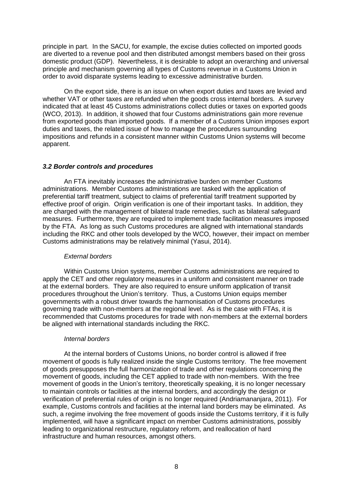principle in part. In the SACU, for example, the excise duties collected on imported goods are diverted to a revenue pool and then distributed amongst members based on their gross domestic product (GDP). Nevertheless, it is desirable to adopt an overarching and universal principle and mechanism governing all types of Customs revenue in a Customs Union in order to avoid disparate systems leading to excessive administrative burden.

On the export side, there is an issue on when export duties and taxes are levied and whether VAT or other taxes are refunded when the goods cross internal borders. A survey indicated that at least 45 Customs administrations collect duties or taxes on exported goods (WCO, 2013). In addition, it showed that four Customs administrations gain more revenue from exported goods than imported goods. If a member of a Customs Union imposes export duties and taxes, the related issue of how to manage the procedures surrounding impositions and refunds in a consistent manner within Customs Union systems will become apparent.

## *3.2 Border controls and procedures*

An FTA inevitably increases the administrative burden on member Customs administrations. Member Customs administrations are tasked with the application of preferential tariff treatment, subject to claims of preferential tariff treatment supported by effective proof of origin. Origin verification is one of their important tasks. In addition, they are charged with the management of bilateral trade remedies, such as bilateral safeguard measures. Furthermore, they are required to implement trade facilitation measures imposed by the FTA. As long as such Customs procedures are aligned with international standards including the RKC and other tools developed by the WCO, however, their impact on member Customs administrations may be relatively minimal (Yasui, 2014).

#### *External borders*

Within Customs Union systems, member Customs administrations are required to apply the CET and other regulatory measures in a uniform and consistent manner on trade at the external borders. They are also required to ensure uniform application of transit procedures throughout the Union's territory. Thus, a Customs Union equips member governments with a robust driver towards the harmonisation of Customs procedures governing trade with non-members at the regional level. As is the case with FTAs, it is recommended that Customs procedures for trade with non-members at the external borders be aligned with international standards including the RKC.

#### *Internal borders*

At the internal borders of Customs Unions, no border control is allowed if free movement of goods is fully realized inside the single Customs territory. The free movement of goods presupposes the full harmonization of trade and other regulations concerning the movement of goods, including the CET applied to trade with non-members. With the free movement of goods in the Union's territory, theoretically speaking, it is no longer necessary to maintain controls or facilities at the internal borders, and accordingly the design or verification of preferential rules of origin is no longer required (Andriamananjara, 2011). For example, Customs controls and facilities at the internal land borders may be eliminated. As such, a regime involving the free movement of goods inside the Customs territory, if it is fully implemented, will have a significant impact on member Customs administrations, possibly leading to organizational restructure, regulatory reform, and reallocation of hard infrastructure and human resources, amongst others.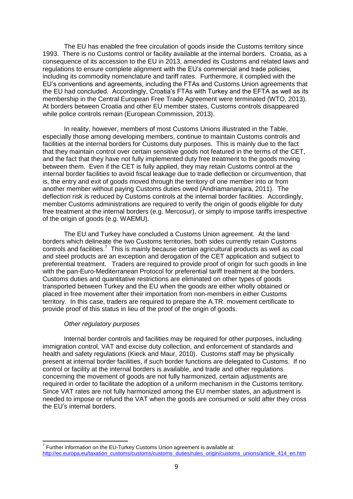The EU has enabled the free circulation of goods inside the Customs territory since 1993. There is no Customs control or facility available at the internal borders. Croatia, as a consequence of its accession to the EU in 2013, amended its Customs and related laws and regulations to ensure complete alignment with the EU's commercial and trade policies, including its commodity nomenclature and tariff rates. Furthermore, it complied with the EU's conventions and agreements, including the FTAs and Customs Union agreements that the EU had concluded. Accordingly, Croatia's FTAs with Turkey and the EFTA as well as its membership in the Central European Free Trade Agreement were terminated (WTO, 2013). At borders between Croatia and other EU member states, Customs controls disappeared while police controls remain (European Commission, 2013).

In reality, however, members of most Customs Unions illustrated in the Table, especially those among developing members, continue to maintain Customs controls and facilities at the internal borders for Customs duty purposes. This is mainly due to the fact that they maintain control over certain sensitive goods not featured in the terms of the CET, and the fact that they have not fully implemented duty free treatment to the goods moving between them. Even if the CET is fully applied, they may retain Customs control at the internal border facilities to avoid fiscal leakage due to trade deflection or circumvention, that is, the entry and exit of goods moved through the territory of one member into or from another member without paying Customs duties owed (Andriamananjara, 2011). The deflection risk is reduced by Customs controls at the internal border facilities. Accordingly, member Customs administrations are required to verify the origin of goods eligible for duty free treatment at the internal borders (e.g. Mercosur), or simply to impose tariffs irrespective of the origin of goods (e.g. WAEMU).

The EU and Turkey have concluded a Customs Union agreement. At the land borders which delineate the two Customs territories, both sides currently retain Customs controls and facilities.<sup>7</sup> This is mainly because certain agricultural products as well as coal and steel products are an exception and derogation of the CET application and subject to preferential treatment. Traders are required to provide proof of origin for such goods in line with the pan-Euro-Mediterranean Protocol for preferential tariff treatment at the borders. Customs duties and quantitative restrictions are eliminated on other types of goods transported between Turkey and the EU when the goods are either wholly obtained or placed in free movement after their importation from non-members in either Customs territory. In this case, traders are required to prepare the A.TR. movement certificate to provide proof of this status in lieu of the proof of the origin of goods.

## *Other regulatory purposes*

 $\overline{\phantom{a}}$ 

Internal border controls and facilities may be required for other purposes, including immigration control, VAT and excise duty collection, and enforcement of standards and health and safety regulations (Kieck and Maur, 2010). Customs staff may be physically present at internal border facilities, if such border functions are delegated to Customs. If no control or facility at the internal borders is available, and trade and other regulations concerning the movement of goods are not fully harmonized, certain adjustments are required in order to facilitate the adoption of a uniform mechanism in the Customs territory. Since VAT rates are not fully harmonized among the EU member states, an adjustment is needed to impose or refund the VAT when the goods are consumed or sold after they cross the EU's internal borders.

 $7$  Further information on the EU-Turkey Customs Union agreement is available at: [http://ec.europa.eu/taxation\\_customs/customs/customs\\_duties/rules\\_origin/customs\\_unions/article\\_414\\_en.htm](http://ec.europa.eu/taxation_customs/customs/customs_duties/rules_origin/customs_unions/article_414_en.htm)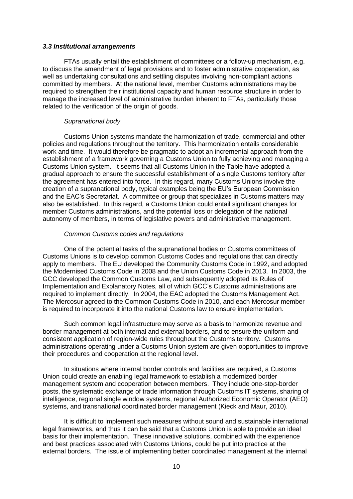## *3.3 Institutional arrangements*

FTAs usually entail the establishment of committees or a follow-up mechanism, e.g. to discuss the amendment of legal provisions and to foster administrative cooperation, as well as undertaking consultations and settling disputes involving non-compliant actions committed by members. At the national level, member Customs administrations may be required to strengthen their institutional capacity and human resource structure in order to manage the increased level of administrative burden inherent to FTAs, particularly those related to the verification of the origin of goods.

# *Supranational body*

Customs Union systems mandate the harmonization of trade, commercial and other policies and regulations throughout the territory. This harmonization entails considerable work and time. It would therefore be pragmatic to adopt an incremental approach from the establishment of a framework governing a Customs Union to fully achieving and managing a Customs Union system. It seems that all Customs Union in the Table have adopted a gradual approach to ensure the successful establishment of a single Customs territory after the agreement has entered into force. In this regard, many Customs Unions involve the creation of a supranational body, typical examples being the EU's European Commission and the EAC's Secretariat. A committee or group that specializes in Customs matters may also be established. In this regard, a Customs Union could entail significant changes for member Customs administrations, and the potential loss or delegation of the national autonomy of members, in terms of legislative powers and administrative management.

# *Common Customs codes and regulations*

One of the potential tasks of the supranational bodies or Customs committees of Customs Unions is to develop common Customs Codes and regulations that can directly apply to members. The EU developed the Community Customs Code in 1992, and adopted the Modernised Customs Code in 2008 and the Union Customs Code in 2013. In 2003, the GCC developed the Common Customs Law, and subsequently adopted its Rules of Implementation and Explanatory Notes, all of which GCC's Customs administrations are required to implement directly. In 2004, the EAC adopted the Customs Management Act. The Mercosur agreed to the Common Customs Code in 2010, and each Mercosur member is required to incorporate it into the national Customs law to ensure implementation.

Such common legal infrastructure may serve as a basis to harmonize revenue and border management at both internal and external borders, and to ensure the uniform and consistent application of region-wide rules throughout the Customs territory. Customs administrations operating under a Customs Union system are given opportunities to improve their procedures and cooperation at the regional level.

In situations where internal border controls and facilities are required, a Customs Union could create an enabling legal framework to establish a modernized border management system and cooperation between members. They include one-stop-border posts, the systematic exchange of trade information through Customs IT systems, sharing of intelligence, regional single window systems, regional Authorized Economic Operator (AEO) systems, and transnational coordinated border management (Kieck and Maur, 2010).

It is difficult to implement such measures without sound and sustainable international legal frameworks, and thus it can be said that a Customs Union is able to provide an ideal basis for their implementation. These innovative solutions, combined with the experience and best practices associated with Customs Unions, could be put into practice at the external borders. The issue of implementing better coordinated management at the internal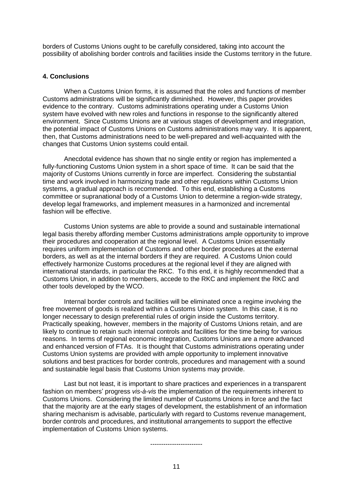borders of Customs Unions ought to be carefully considered, taking into account the possibility of abolishing border controls and facilities inside the Customs territory in the future.

# **4. Conclusions**

When a Customs Union forms, it is assumed that the roles and functions of member Customs administrations will be significantly diminished. However, this paper provides evidence to the contrary. Customs administrations operating under a Customs Union system have evolved with new roles and functions in response to the significantly altered environment. Since Customs Unions are at various stages of development and integration, the potential impact of Customs Unions on Customs administrations may vary. It is apparent, then, that Customs administrations need to be well-prepared and well-acquainted with the changes that Customs Union systems could entail.

Anecdotal evidence has shown that no single entity or region has implemented a fully-functioning Customs Union system in a short space of time. It can be said that the majority of Customs Unions currently in force are imperfect. Considering the substantial time and work involved in harmonizing trade and other regulations within Customs Union systems, a gradual approach is recommended. To this end, establishing a Customs committee or supranational body of a Customs Union to determine a region-wide strategy, develop legal frameworks, and implement measures in a harmonized and incremental fashion will be effective.

Customs Union systems are able to provide a sound and sustainable international legal basis thereby affording member Customs administrations ample opportunity to improve their procedures and cooperation at the regional level. A Customs Union essentially requires uniform implementation of Customs and other border procedures at the external borders, as well as at the internal borders if they are required. A Customs Union could effectively harmonize Customs procedures at the regional level if they are aligned with international standards, in particular the RKC. To this end, it is highly recommended that a Customs Union, in addition to members, accede to the RKC and implement the RKC and other tools developed by the WCO.

Internal border controls and facilities will be eliminated once a regime involving the free movement of goods is realized within a Customs Union system. In this case, it is no longer necessary to design preferential rules of origin inside the Customs territory. Practically speaking, however, members in the majority of Customs Unions retain, and are likely to continue to retain such internal controls and facilities for the time being for various reasons. In terms of regional economic integration, Customs Unions are a more advanced and enhanced version of FTAs. It is thought that Customs administrations operating under Customs Union systems are provided with ample opportunity to implement innovative solutions and best practices for border controls, procedures and management with a sound and sustainable legal basis that Customs Union systems may provide.

Last but not least, it is important to share practices and experiences in a transparent fashion on members' progress *vis-à-vis* the implementation of the requirements inherent to Customs Unions. Considering the limited number of Customs Unions in force and the fact that the majority are at the early stages of development, the establishment of an information sharing mechanism is advisable, particularly with regard to Customs revenue management, border controls and procedures, and institutional arrangements to support the effective implementation of Customs Union systems.

------------------------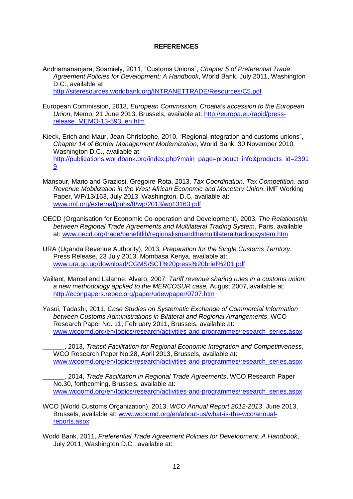# **REFERENCES**

Andriamananjara, Soamiely, 2011, "Customs Unions", *Chapter 5 of Preferential Trade Agreement Policies for Development: A Handbook*, World Bank, July 2011, Washington D.C., available at <http://siteresources.worldbank.org/INTRANETTRADE/Resources/C5.pdf>

- European Commission, 2013, *European Commission, Croatia's accession to the European Union*, Memo, 21 June 2013, Brussels, available at: [http://europa.eu/rapid/press](http://europa.eu/rapid/press-release_MEMO-13-593_en.htm)[release\\_MEMO-13-593\\_en.htm](http://europa.eu/rapid/press-release_MEMO-13-593_en.htm)
- Kieck, Erich and Maur, Jean-Christophe, 2010, "Regional integration and customs unions", *Chapter 14 of Border Management Modernization*, World Bank, 30 November 2010, Washington D.C., available at: [http://publications.worldbank.org/index.php?main\\_page=product\\_info&products\\_id=2391](http://publications.worldbank.org/index.php?main_page=product_info&products_id=23919) [9](http://publications.worldbank.org/index.php?main_page=product_info&products_id=23919)
- Mansour, Mario and Graziosi, Grégoire-Rota, 2013, *Tax Coordination, Tax Competition, and Revenue Mobilization in the West African Economic and Monetary Union*, IMF Working Paper, WP/13/163, July 2013, Washington, D.C, available at: [www.imf.org/external/pubs/ft/wp/2013/wp13163.pdf](http://www.imf.org/external/pubs/ft/wp/2013/wp13163.pdf)
- OECD (Organisation for Economic Co-operation and Development), 2003, *The Relationship between Regional Trade Agreements and Multilateral Trading System*, Paris, available at: [www.oecd.org/trade/benefitlib/regionalismandthemultilateraltradingsystem.htm](http://www.oecd.org/trade/benefitlib/regionalismandthemultilateraltradingsystem.htm)
- URA (Uganda Revenue Authority), 2013, *Preparation for the Single Customs Territory*, Press Release, 23 July 2013, Mombasa Kenya, available at: [www.ura.go.ug/download/CGMS/SCT%20press%20brief%201.pdf](http://www.ura.go.ug/download/CGMS/SCT%20press%20brief%201.pdf)
- Vaillant, Marcel and Lalanne, Alvaro, 2007, *Tariff revenue sharing rules in a customs union: a new methodology applied to the MERCOSUR case,* August 2007, available at: <http://econpapers.repec.org/paper/udewpaper/0707.htm>
- Yasui, Tadashi, 2011, *Case Studies on Systematic Exchange of Commercial Information between Customs Administrations in Bilateral and Regional Arrangements*, WCO Research Paper No. 11, February 2011, Brussels, available at: [www.wcoomd.org/en/topics/research/activities-and-programmes/research\\_series.aspx](http://www.wcoomd.org/en/topics/research/activities-and-programmes/research_series.aspx) 
	- \_\_\_\_\_\_, 2013, *Transit Facilitation for Regional Economic Integration and Competitiveness*, WCO Research Paper No.28, April 2013, Brussels, available at: [www.wcoomd.org/en/topics/research/activities-and-programmes/research\\_series.aspx](http://www.wcoomd.org/en/topics/research/activities-and-programmes/research_series.aspx)
	- \_\_\_\_\_\_, 2014, *Trade Facilitation in Regional Trade Agreements*, WCO Research Paper No.30, forthcoming, Brussels, available at: www.wcoomd.org/en/topics/research/activities-and-programmes/research\_series.aspx
- WCO (World Customs Organization), 2013, *WCO Annual Report 2012-2013*, June 2013, Brussels, available at: [www.wcoomd.org/en/about-us/what-is-the-wco/annual](http://www.wcoomd.org/en/about-us/what-is-the-wco/annual-reports.aspx)[reports.aspx](http://www.wcoomd.org/en/about-us/what-is-the-wco/annual-reports.aspx)
- World Bank, 2011, *Preferential Trade Agreement Policies for Development: A Handbook*, July 2011, Washington D.C., available at: